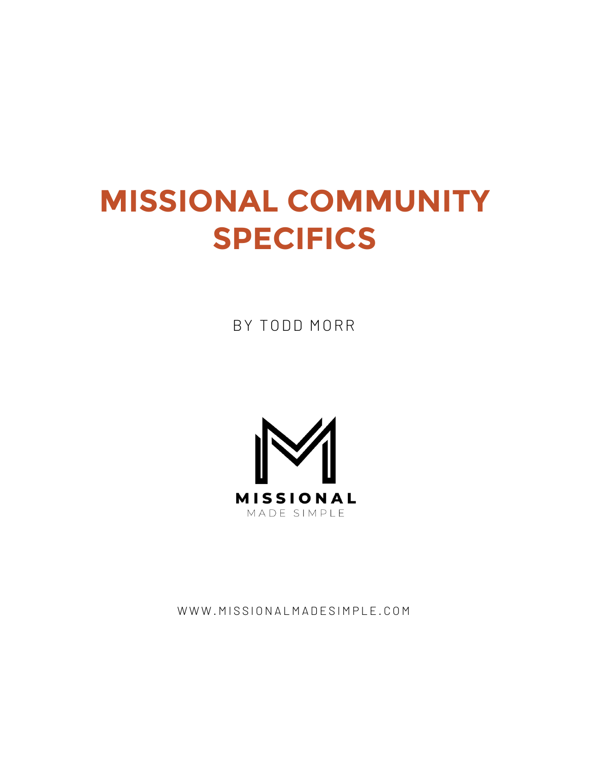# **MISSIONAL COMMUNITY SPECIFICS**

BY TODD MORR



WWW.MISSIONALMADESIMPLE.COM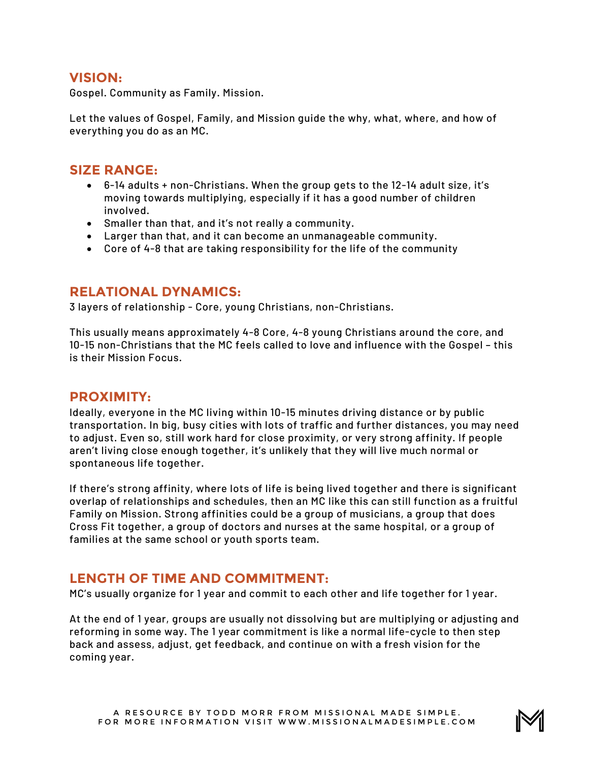### **VISION:**

Gospel. Community as Family. Mission.

Let the values of Gospel, Family, and Mission guide the why, what, where, and how of everything you do as an MC.

#### **SIZE RANGE:**

- 6-14 adults + non-Christians. When the group gets to the 12-14 adult size, it's moving towards multiplying, especially if it has a good number of children involved.
- Smaller than that, and it's not really a community.
- Larger than that, and it can become an unmanageable community.
- Core of 4-8 that are taking responsibility for the life of the community

### **RELATIONAL DYNAMICS:**

3 layers of relationship - Core, young Christians, non-Christians.

This usually means approximately 4-8 Core, 4-8 young Christians around the core, and 10-15 non-Christians that the MC feels called to love and influence with the Gospel – this is their Mission Focus.

#### **PROXIMITY:**

Ideally, everyone in the MC living within 10-15 minutes driving distance or by public transportation. In big, busy cities with lots of traffic and further distances, you may need to adjust. Even so, still work hard for close proximity, or very strong affinity. If people aren't living close enough together, it's unlikely that they will live much normal or spontaneous life together.

If there's strong affinity, where lots of life is being lived together and there is significant overlap of relationships and schedules, then an MC like this can still function as a fruitful Family on Mission. Strong affinities could be a group of musicians, a group that does Cross Fit together, a group of doctors and nurses at the same hospital, or a group of families at the same school or youth sports team.

### **LENGTH OF TIME AND COMMITMENT:**

MC's usually organize for 1 year and commit to each other and life together for 1 year.

At the end of 1 year, groups are usually not dissolving but are multiplying or adjusting and reforming in some way. The 1 year commitment is like a normal life-cycle to then step back and assess, adjust, get feedback, and continue on with a fresh vision for the coming year.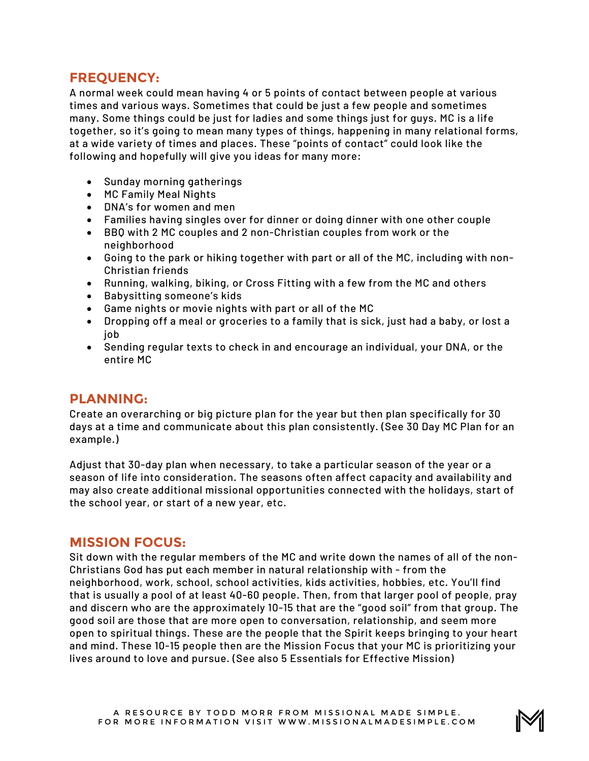## **FREQUENCY:**

A normal week could mean having 4 or 5 points of contact between people at various times and various ways. Sometimes that could be just a few people and sometimes many. Some things could be just for ladies and some things just for guys. MC is a life together, so it's going to mean many types of things, happening in many relational forms, at a wide variety of times and places. These "points of contact" could look like the following and hopefully will give you ideas for many more:

- Sunday morning gatherings
- MC Family Meal Nights
- DNA's for women and men
- Families having singles over for dinner or doing dinner with one other couple
- BBQ with 2 MC couples and 2 non-Christian couples from work or the neighborhood
- Going to the park or hiking together with part or all of the MC, including with non-Christian friends
- Running, walking, biking, or Cross Fitting with a few from the MC and others
- Babysitting someone's kids
- Game nights or movie nights with part or all of the MC
- Dropping off a meal or groceries to a family that is sick, just had a baby, or lost a job
- Sending regular texts to check in and encourage an individual, your DNA, or the entire MC

#### **PLANNING:**

Create an overarching or big picture plan for the year but then plan specifically for 30 days at a time and communicate about this plan consistently. (See 30 Day MC Plan for an example.)

Adjust that 30-day plan when necessary, to take a particular season of the year or a season of life into consideration. The seasons often affect capacity and availability and may also create additional missional opportunities connected with the holidays, start of the school year, or start of a new year, etc.

### **MISSION FOCUS:**

Sit down with the regular members of the MC and write down the names of all of the non-Christians God has put each member in natural relationship with - from the neighborhood, work, school, school activities, kids activities, hobbies, etc. You'll find that is usually a pool of at least 40-60 people. Then, from that larger pool of people, pray and discern who are the approximately 10-15 that are the "good soil" from that group. The good soil are those that are more open to conversation, relationship, and seem more open to spiritual things. These are the people that the Spirit keeps bringing to your heart and mind. These 10-15 people then are the Mission Focus that your MC is prioritizing your lives around to love and pursue. (See also 5 Essentials for Effective Mission)

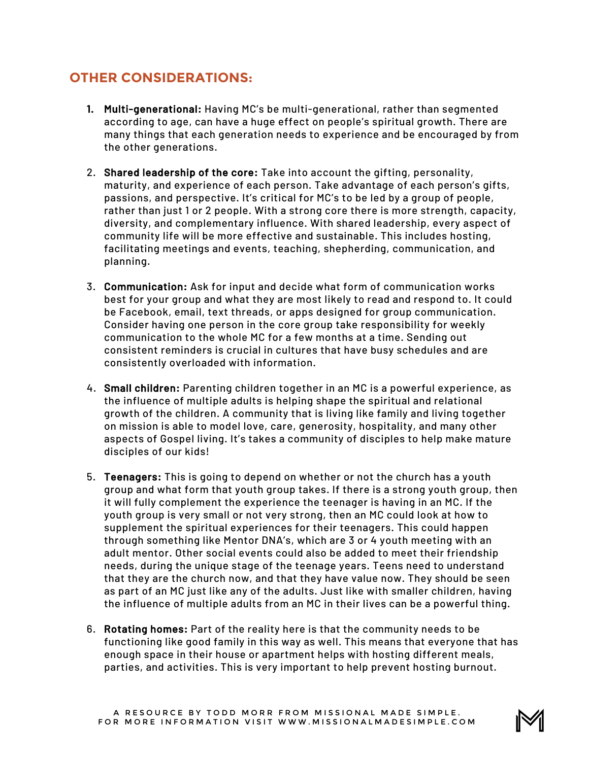# **OTHER CONSIDERATIONS:**

- 1. Multi-generational: Having MC's be multi-generational, rather than segmented according to age, can have a huge effect on people's spiritual growth. There are many things that each generation needs to experience and be encouraged by from the other generations.
- 2. Shared leadership of the core: Take into account the gifting, personality, maturity, and experience of each person. Take advantage of each person's gifts, passions, and perspective. It's critical for MC's to be led by a group of people, rather than just 1 or 2 people. With a strong core there is more strength, capacity, diversity, and complementary influence. With shared leadership, every aspect of community life will be more effective and sustainable. This includes hosting, facilitating meetings and events, teaching, shepherding, communication, and planning.
- 3. Communication: Ask for input and decide what form of communication works best for your group and what they are most likely to read and respond to. It could be Facebook, email, text threads, or apps designed for group communication. Consider having one person in the core group take responsibility for weekly communication to the whole MC for a few months at a time. Sending out consistent reminders is crucial in cultures that have busy schedules and are consistently overloaded with information.
- 4. Small children: Parenting children together in an MC is a powerful experience, as the influence of multiple adults is helping shape the spiritual and relational growth of the children. A community that is living like family and living together on mission is able to model love, care, generosity, hospitality, and many other aspects of Gospel living. It's takes a community of disciples to help make mature disciples of our kids!
- 5. Teenagers: This is going to depend on whether or not the church has a youth group and what form that youth group takes. If there is a strong youth group, then it will fully complement the experience the teenager is having in an MC. If the youth group is very small or not very strong, then an MC could look at how to supplement the spiritual experiences for their teenagers. This could happen through something like Mentor DNA's, which are 3 or 4 youth meeting with an adult mentor. Other social events could also be added to meet their friendship needs, during the unique stage of the teenage years. Teens need to understand that they are the church now, and that they have value now. They should be seen as part of an MC just like any of the adults. Just like with smaller children, having the influence of multiple adults from an MC in their lives can be a powerful thing.
- 6. Rotating homes: Part of the reality here is that the community needs to be functioning like good family in this way as well. This means that everyone that has enough space in their house or apartment helps with hosting different meals, parties, and activities. This is very important to help prevent hosting burnout.